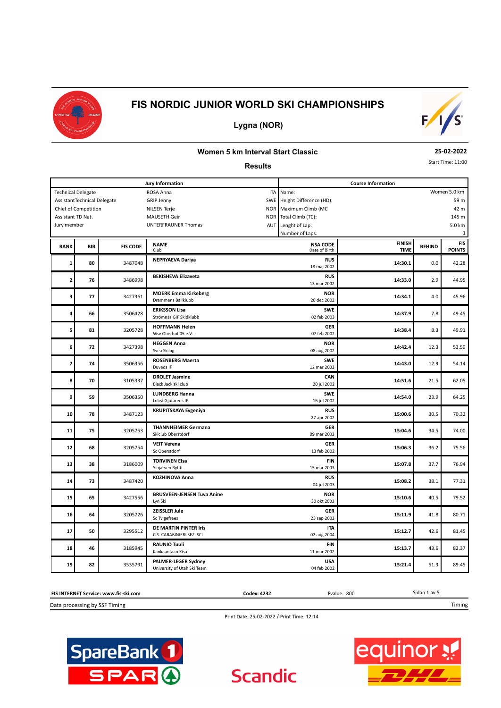



## **Lygna (NOR)**

#### **Women 5 km Interval Start Classic**

#### **Results**

**25-02-2022**

Start Time: 11:00

|                          |                             |                 | Jury Information                                          | <b>Course Information</b>        |                              |               |                             |  |  |  |
|--------------------------|-----------------------------|-----------------|-----------------------------------------------------------|----------------------------------|------------------------------|---------------|-----------------------------|--|--|--|
|                          | <b>Technical Delegate</b>   |                 | ROSA Anna<br><b>ITA</b>                                   | Name:                            | Women 5.0 km                 |               |                             |  |  |  |
|                          | AssistantTechnical Delegate |                 | SWE<br><b>GRIP Jenny</b>                                  | Height Difference (HD):<br>59 m  |                              |               |                             |  |  |  |
|                          | Chief of Competition        |                 | <b>NOR</b><br><b>NILSEN Terje</b>                         | Maximum Climb (MC                |                              |               | 42 m                        |  |  |  |
| Assistant TD Nat.        |                             |                 | <b>MAUSETH Geir</b><br><b>NOR</b>                         | Total Climb (TC):                |                              |               | 145 m                       |  |  |  |
| Jury member              |                             |                 | UNTERFRAUNER Thomas<br><b>AUT</b>                         | Lenght of Lap:                   |                              |               | 5.0 km                      |  |  |  |
|                          |                             |                 |                                                           | Number of Laps:                  |                              |               | 1                           |  |  |  |
| <b>RANK</b>              | <b>BIB</b>                  | <b>FIS CODE</b> | <b>NAME</b><br>Club                                       | <b>NSA CODE</b><br>Date of Birth | <b>FINISH</b><br><b>TIME</b> | <b>BEHIND</b> | <b>FIS</b><br><b>POINTS</b> |  |  |  |
| 1                        | 80                          | 3487048         | <b>NEPRYAEVA Dariya</b>                                   | <b>RUS</b><br>18 maj 2002        | 14:30.1                      | 0.0           | 42.28                       |  |  |  |
| 2                        | 76                          | 3486998         | <b>BEKISHEVA Elizaveta</b>                                | <b>RUS</b><br>13 mar 2002        | 14:33.0                      | 2.9           | 44.95                       |  |  |  |
| 3                        | 77                          | 3427361         | <b>MOERK Emma Kirkeberg</b><br>Drammens Ballklubb         | <b>NOR</b><br>20 dec 2002        | 14:34.1                      | 4.0           | 45.96                       |  |  |  |
| 4                        | 66                          | 3506428         | <b>ERIKSSON Lisa</b><br>Strömnäs GIF Skidklubb            | <b>SWE</b><br>02 feb 2003        | 14:37.9                      | 7.8           | 49.45                       |  |  |  |
| 5                        | 81                          | 3205728         | <b>HOFFMANN Helen</b><br>Wsv Oberhof 05 e.V.              | <b>GER</b><br>07 feb 2002        | 14:38.4                      | 8.3           | 49.91                       |  |  |  |
| 6                        | 72                          | 3427398         | <b>HEGGEN Anna</b><br>Svea Skilag                         | <b>NOR</b><br>08 aug 2002        | 14:42.4                      | 12.3          | 53.59                       |  |  |  |
| $\overline{\phantom{a}}$ | 74                          | 3506356         | <b>ROSENBERG Maerta</b><br>Duveds IF                      | <b>SWE</b><br>12 mar 2002        | 14:43.0                      | 12.9          | 54.14                       |  |  |  |
| 8                        | 70                          | 3105337         | <b>DROLET Jasmine</b><br>Black Jack ski club              | CAN<br>20 jul 2002               | 14:51.6                      | 21.5          | 62.05                       |  |  |  |
| 9                        | 59                          | 3506350         | <b>LUNDBERG Hanna</b><br>Luleå Gjutarens IF               | <b>SWE</b><br>16 jul 2002        | 14:54.0                      | 23.9          | 64.25                       |  |  |  |
| 10                       | 78                          | 3487123         | <b>KRUPITSKAYA Evgeniya</b>                               | <b>RUS</b><br>27 apr 2002        | 15:00.6                      | 30.5          | 70.32                       |  |  |  |
| 11                       | 75                          | 3205753         | <b>THANNHEIMER Germana</b><br>Skiclub Oberstdorf          | <b>GER</b><br>09 mar 2002        | 15:04.6                      | 34.5          | 74.00                       |  |  |  |
| 12                       | 68                          | 3205754         | <b>VEIT Verena</b><br>Sc Oberstdorf                       | <b>GER</b><br>13 feb 2002        | 15:06.3                      | 36.2          | 75.56                       |  |  |  |
| 13                       | 38                          | 3186009         | <b>TORVINEN Elsa</b><br>Ylojarven Ryhti                   | <b>FIN</b><br>15 mar 2003        | 15:07.8                      | 37.7          | 76.94                       |  |  |  |
| 14                       | 73                          | 3487420         | <b>KOZHINOVA Anna</b>                                     | <b>RUS</b><br>04 jul 2003        | 15:08.2                      | 38.1          | 77.31                       |  |  |  |
| 15                       | 65                          | 3427556         | <b>BRUSVEEN-JENSEN Tuva Anine</b><br>Lyn Ski              | <b>NOR</b><br>30 okt 2003        | 15:10.6                      | 40.5          | 79.52                       |  |  |  |
| 16                       | 64                          | 3205726         | <b>ZEISSLER Jule</b><br>Sc Tv gefrees                     | <b>GER</b><br>23 sep 2002        | 15:11.9                      | 41.8          | 80.71                       |  |  |  |
| 17                       | 50                          | 3295512         | DE MARTIN PINTER Iris<br>C.S. CARABINIERI SEZ. SCI        | <b>ITA</b><br>02 aug 2004        | 15:12.7                      | 42.6          | 81.45                       |  |  |  |
| 18                       | 46                          | 3185945         | <b>RAUNIO Tuuli</b><br>Kankaantaan Kisa                   | <b>FIN</b><br>11 mar 2002        | 15:13.7                      | 43.6          | 82.37                       |  |  |  |
| 19                       | 82                          | 3535791         | <b>PALMER-LEGER Sydney</b><br>University of Utah Ski Team | <b>USA</b><br>04 feb 2002        | 15:21.4                      | 51.3          | 89.45                       |  |  |  |



Print Date: 25-02-2022 / Print Time: 12:14

**Scandic** 



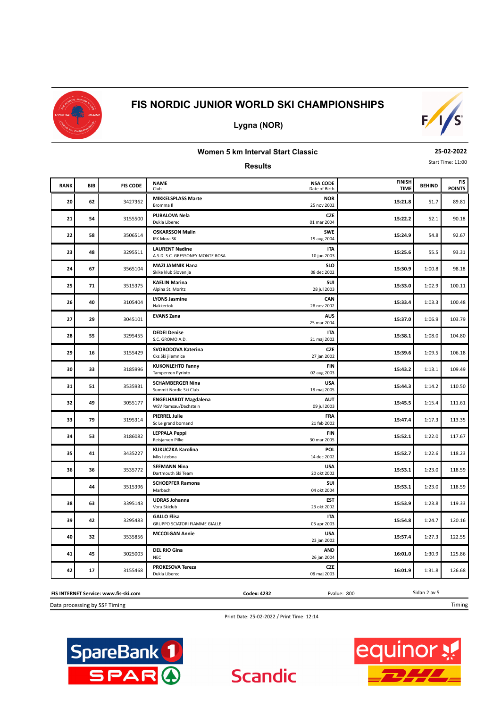

**Lygna (NOR)**



# **Women 5 km Interval Start Classic**

**25-02-2022**

**Results**

|  | Start Time: 11:00 |
|--|-------------------|

| <b>RANK</b> | <b>BIB</b> | <b>FIS CODE</b> | <b>NAME</b><br>Club                                        | <b>NSA CODE</b><br>Date of Birth | <b>FINISH</b><br><b>TIME</b> | <b>BEHIND</b> | <b>FIS</b><br><b>POINTS</b> |
|-------------|------------|-----------------|------------------------------------------------------------|----------------------------------|------------------------------|---------------|-----------------------------|
| 20          | 62         | 3427362         | <b>MIKKELSPLASS Marte</b><br>Bromma II                     | <b>NOR</b><br>25 nov 2002        | 15:21.8                      | 51.7          | 89.81                       |
| 21          | 54         | 3155500         | <b>PUBALOVA Nela</b><br>Dukla Liberec                      | <b>CZE</b><br>01 mar 2004        | 15:22.2                      | 52.1          | 90.18                       |
| 22          | 58         | 3506514         | <b>OSKARSSON Malin</b><br>IFK Mora SK                      | <b>SWE</b><br>19 aug 2004        | 15:24.9                      | 54.8          | 92.67                       |
| 23          | 48         | 3295511         | <b>LAURENT Nadine</b><br>A.S.D. S.C. GRESSONEY MONTE ROSA  | <b>ITA</b><br>10 jun 2003        | 15:25.6                      | 55.5          | 93.31                       |
| 24          | 67         | 3565104         | <b>MAZI JAMNIK Hana</b><br>Skike klub Slovenija            | <b>SLO</b><br>08 dec 2002        | 15:30.9                      | 1:00.8        | 98.18                       |
| 25          | ${\bf 71}$ | 3515375         | <b>KAELIN Marina</b><br>Alpina St. Moritz                  | SUI<br>28 jul 2003               | 15:33.0                      | 1:02.9        | 100.11                      |
| 26          | 40         | 3105404         | <b>LYONS Jasmine</b><br>Nakkertok                          | CAN<br>28 nov 2002               | 15:33.4                      | 1:03.3        | 100.48                      |
| 27          | 29         | 3045101         | <b>EVANS Zana</b>                                          | <b>AUS</b><br>25 mar 2004        | 15:37.0                      | 1:06.9        | 103.79                      |
| 28          | 55         | 3295455         | <b>DEDEI Denise</b><br>S.C. GROMO A.D.                     | <b>ITA</b><br>21 maj 2002        | 15:38.1                      | 1:08.0        | 104.80                      |
| 29          | 16         | 3155429         | SVOBODOVA Katerina<br>Cks Ski jilemnice                    | <b>CZE</b><br>27 jan 2002        | 15:39.6                      | 1:09.5        | 106.18                      |
| 30          | 33         | 3185996         | <b>KUKONLEHTO Fanny</b><br>Tampereen Pyrinto               | <b>FIN</b><br>02 aug 2003        | 15:43.2                      | 1:13.1        | 109.49                      |
| 31          | 51         | 3535931         | <b>SCHAMBERGER Nina</b><br>Summit Nordic Ski Club          | <b>USA</b><br>18 maj 2005        | 15:44.3                      | 1:14.2        | 110.50                      |
| 32          | 49         | 3055177         | <b>ENGELHARDT Magdalena</b><br>WSV Ramsau/Dachstein        | <b>AUT</b><br>09 jul 2003        | 15:45.5                      | 1:15.4        | 111.61                      |
| 33          | 79         | 3195314         | <b>PIERREL Julie</b><br>Sc Le grand bornand                | FRA<br>21 feb 2002               | 15:47.4                      | 1:17.3        | 113.35                      |
| 34          | 53         | 3186082         | <b>LEPPALA Peppi</b><br>Reisjarven Pilke                   | <b>FIN</b><br>30 mar 2005        | 15:52.1                      | 1:22.0        | 117.67                      |
| 35          | 41         | 3435227         | <b>KUKUCZKA Karolina</b><br>Mks Istebna                    | POL<br>14 dec 2002               | 15:52.7                      | 1:22.6        | 118.23                      |
| 36          | 36         | 3535772         | <b>SEEMANN Nina</b><br>Dartmouth Ski Team                  | <b>USA</b><br>20 okt 2002        | 15:53.1                      | 1:23.0        | 118.59                      |
|             | 44         | 3515396         | <b>SCHOEPFER Ramona</b><br>Marbach                         | SUI<br>04 okt 2004               | 15:53.1                      | 1:23.0        | 118.59                      |
| 38          | 63         | 3395143         | <b>UDRAS Johanna</b><br>Voru Skiclub                       | <b>EST</b><br>23 okt 2002        | 15:53.9                      | 1:23.8        | 119.33                      |
| 39          | 42         | 3295483         | <b>GALLO Elisa</b><br><b>GRUPPO SCIATORI FIAMME GIALLE</b> | <b>ITA</b><br>03 apr 2003        | 15:54.8                      | 1:24.7        | 120.16                      |
| 40          | 32         | 3535856         | <b>MCCOLGAN Annie</b>                                      | <b>USA</b><br>23 jan 2002        | 15:57.4                      | 1:27.3        | 122.55                      |
| 41          | 45         | 3025003         | <b>DEL RIO Gina</b><br><b>NEC</b>                          | <b>AND</b><br>26 jan 2004        | 16:01.0                      | 1:30.9        | 125.86                      |
| 42          | 17         | 3155468         | <b>PROKESOVA Tereza</b><br>Dukla Liberec                   | <b>CZE</b><br>08 maj 2003        | 16:01.9                      | 1:31.8        | 126.68                      |

Data processing by SSF Timing **FIS INTERNET Service: www.fis-ski.com** **Codex: 4232** Fvalue: 800

Timing

Sidan 2 av 5

Print Date: 25-02-2022 / Print Time: 12:14

**Scandic** 



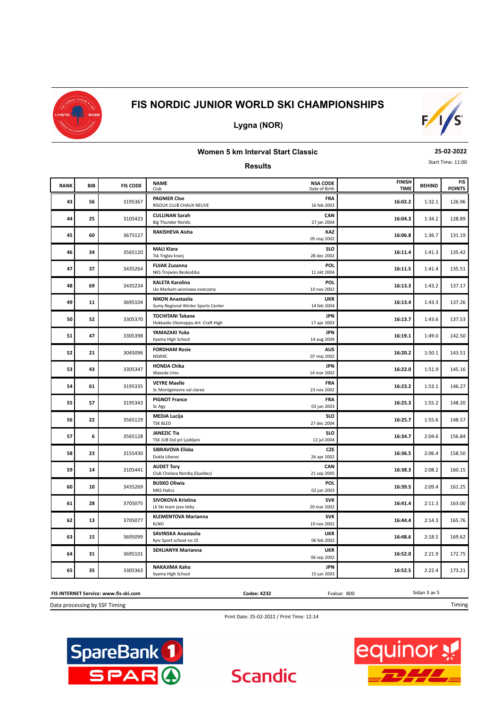



## **Lygna (NOR)**

### **Women 5 km Interval Start Classic**

#### **Results**

**25-02-2022**

Start Time: 11:00

| <b>RANK</b> | BIB | <b>FIS CODE</b> | <b>NSA CODE</b><br><b>NAME</b><br>Date of Birth<br>Club                                    | <b>FINISH</b><br><b>TIME</b> | <b>BEHIND</b> | <b>FIS</b><br><b>POINTS</b> |
|-------------|-----|-----------------|--------------------------------------------------------------------------------------------|------------------------------|---------------|-----------------------------|
| 43          | 56  | 3195367         | <b>PAGNIER Cloe</b><br>FRA<br>RISOUX CLUB CHAUX NEUVE<br>16 feb 2002                       | 16:02.2                      | 1:32.1        | 126.96                      |
| 44          | 25  | 3105423         | <b>CULLINAN Sarah</b><br>CAN<br>27 jan 2004<br><b>Big Thunder Nordic</b>                   | 16:04.3                      | 1:34.2        | 128.89                      |
| 45          | 60  | 3675127         | RAKISHEVA Aisha<br>05 maj 2002                                                             | <b>KAZ</b><br>16:06.8        | 1:36.7        | 131.19                      |
| 46          | 34  | 3565120         | <b>MALI Klara</b><br>Tsk Triglav kranj<br>28 dec 2002                                      | <b>SLO</b><br>16:11.4        | 1:41.3        | 135.42                      |
| 47          | 37  | 3435264         | <b>FUJAK Zuzanna</b><br>11 okt 2004<br>NKS Trojwies Beskodzka                              | POL<br>16:11.5               | 1:41.4        | 135.51                      |
| 48          | 69  | 3435234         | <b>KALETA Karolina</b><br>10 nov 2002<br>Lks Markam wisniowa osieczany                     | <b>POL</b><br>16:13.3        | 1:43.2        | 137.17                      |
| 49          | 11  | 3695104         | <b>NIKON Anastasiia</b><br><b>UKR</b><br>Sumy Regional Winter Sports Center<br>14 feb 2004 | 16:13.4                      | 1:43.3        | 137.26                      |
| 50          | 52  | 3305370         | <b>TOCHITANI Takane</b><br>Hokkaido Otoineppu Art Craft High<br>17 apr 2003                | <b>JPN</b><br>16:13.7        | 1:43.6        | 137.53                      |
| 51          | 47  | 3305398         | YAMAZAKI Yuka<br>liyama High School<br>14 aug 2004                                         | <b>JPN</b><br>16:19.1        | 1:49.0        | 142.50                      |
| 52          | 21  | 3045096         | <b>FORDHAM Rosie</b><br><b>AUS</b><br>07 maj 2002<br><b>NSWXC</b>                          | 16:20.2                      | 1:50.1        | 143.51                      |
| 53          | 43  | 3305347         | <b>HONDA Chika</b><br>14 mar 2002<br>Waseda Univ.                                          | <b>JPN</b><br>16:22.0        | 1:51.9        | 145.16                      |
| 54          | 61  | 3195335         | <b>FRA</b><br><b>VEYRE Maelle</b><br>23 nov 2002<br>Sc Montgenevre val claree              | 16:23.2                      | 1:53.1        | 146.27                      |
| 55          | 57  | 3195343         | <b>PIGNOT France</b><br>FRA<br>03 jun 2003<br>Sc Agy                                       | 16:25.3                      | 1:55.2        | 148.20                      |
| 56          | 22  | 3565129         | <b>MEDJA Lucija</b><br><b>TSK BLED</b><br>27 dec 2004                                      | <b>SLO</b><br>16:25.7        | 1:55.6        | 148.57                      |
| 57          | 6   | 3565128         | <b>JANEZIC Tia</b><br>TSK JUB Dol pri Ljubljani<br>12 jul 2004                             | <b>SLO</b><br>16:34.7        | 2:04.6        | 156.84                      |
| 58          | 23  | 3155430         | SIBRAVOVA Eliska<br>Dukla Liberec<br>26 apr 2002                                           | <b>CZE</b><br>16:36.5        | 2:06.4        | 158.50                      |
| 59          | 14  | 3105441         | CAN<br><b>AUDET Tory</b><br>Club Chelsea Nordig (Quebec)<br>21 sep 2005                    | 16:38.3                      | 2:08.2        | 160.15                      |
| 60          | 10  | 3435269         | <b>BUSKO Oliwia</b><br><b>MKS Halicz</b><br>02 jun 2003                                    | POL<br>16:39.5               | 2:09.4        | 161.25                      |
| 61          | 28  | 3705075         | SIVOKOVA Kristina<br>Lk Ski team jase latky<br>20 mar 2002                                 | <b>SVK</b><br>16:41.4        | 2:11.3        | 163.00                      |
| 62          | 13  | 3705077         | <b>KLEMENTOVA Marianna</b><br><b>KLNO</b><br>19 nov 2002                                   | <b>SVK</b><br>16:44.4        | 2:14.3        | 165.76                      |
| 63          | 15  | 3695099         | SAVINSKA Anastasiia<br><b>UKR</b><br>Kyiv Sport school no.15<br>06 feb 2002                | 16:48.6                      | 2:18.5        | 169.62                      |
| 64          | 31  | 3695101         | <b>UKR</b><br><b>SEHLIANYK Marianna</b><br>06 sep 2002                                     | 16:52.0                      | 2:21.9        | 172.75                      |
| 65          | 35  | 3305363         | NAKAJIMA Kaho<br>liyama High School<br>15 jun 2003                                         | <b>JPN</b><br>16:52.5        | 2:22.4        | 173.21                      |

#### **FIS INTERNET Service: www.fis-ski.com**

Data processing by SSF Timing

Print Date: 25-02-2022 / Print Time: 12:14

**Scandic** 

**Codex: 4232** Fvalue: 800





Sidan 3 av 5

Timing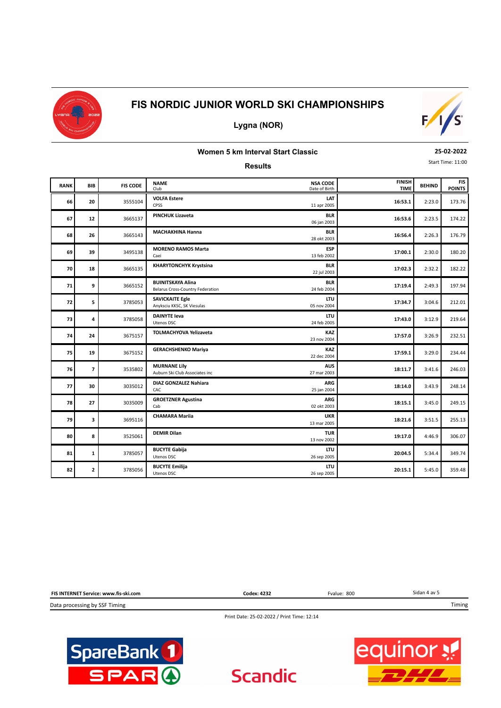



# **Lygna (NOR)**

### **Women 5 km Interval Start Classic**

**Results**

**25-02-2022**

Start Time: 11:00

| <b>RANK</b> | <b>BIB</b>               | <b>FIS CODE</b> | <b>NAME</b><br>Club                                                 | <b>NSA CODE</b><br>Date of Birth | <b>FINISH</b><br><b>TIME</b> | <b>BEHIND</b> | <b>FIS</b><br><b>POINTS</b> |
|-------------|--------------------------|-----------------|---------------------------------------------------------------------|----------------------------------|------------------------------|---------------|-----------------------------|
| 66          | 20                       | 3555104         | <b>VOLFA Estere</b><br>CPSS                                         | LAT<br>11 apr 2005               | 16:53.1                      | 2:23.0        | 173.76                      |
| 67          | 12                       | 3665137         | <b>PINCHUK Lizaveta</b>                                             | <b>BLR</b><br>06 jan 2003        | 16:53.6                      | 2:23.5        | 174.22                      |
| 68          | 26                       | 3665143         | <b>MACHAKHINA Hanna</b>                                             | <b>BLR</b><br>28 okt 2003        | 16:56.4                      | 2:26.3        | 176.79                      |
| 69          | 39                       | 3495138         | <b>MORENO RAMOS Marta</b><br>Caei                                   | <b>ESP</b><br>13 feb 2002        | 17:00.1                      | 2:30.0        | 180.20                      |
| 70          | 18                       | 3665135         | <b>KHARYTONCHYK Krystsina</b>                                       | <b>BLR</b><br>22 jul 2003        | 17:02.3                      | 2:32.2        | 182.22                      |
| 71          | 9                        | 3665152         | <b>BUINITSKAYA Alina</b><br><b>Belarus Cross-Country Federation</b> | <b>BLR</b><br>24 feb 2004        | 17:19.4                      | 2:49.3        | 197.94                      |
| 72          | 5                        | 3785053         | <b>SAVICKAITE Egle</b><br>Anyksciu KKSC, SK Viesulas                | LTU<br>05 nov 2004               | 17:34.7                      | 3:04.6        | 212.01                      |
| 73          | 4                        | 3785058         | <b>DAINYTE leva</b><br>Utenos DSC                                   | <b>LTU</b><br>24 feb 2005        | 17:43.0                      | 3:12.9        | 219.64                      |
| 74          | 24                       | 3675157         | <b>TOLMACHYOVA Yelizaveta</b>                                       | <b>KAZ</b><br>23 nov 2004        | 17:57.0                      | 3:26.9        | 232.51                      |
| 75          | 19                       | 3675152         | <b>GERACHSHENKO Mariya</b>                                          | KAZ<br>22 dec 2004               | 17:59.1                      | 3:29.0        | 234.44                      |
| 76          | $\overline{\phantom{a}}$ | 3535802         | <b>MURNANE Lily</b><br>Auburn Ski Club Associates inc               | <b>AUS</b><br>27 mar 2003        | 18:11.7                      | 3:41.6        | 246.03                      |
| 77          | 30                       | 3035012         | <b>DIAZ GONZALEZ Nahiara</b><br>CAC                                 | <b>ARG</b><br>25 jan 2004        | 18:14.0                      | 3:43.9        | 248.14                      |
| 78          | 27                       | 3035009         | <b>GROETZNER Agustina</b><br>Cab                                    | <b>ARG</b><br>02 okt 2003        | 18:15.1                      | 3:45.0        | 249.15                      |
| 79          | 3                        | 3695116         | <b>CHAMARA Mariia</b>                                               | <b>UKR</b><br>13 mar 2005        | 18:21.6                      | 3:51.5        | 255.13                      |
| 80          | 8                        | 3525061         | <b>DEMIR Dilan</b>                                                  | <b>TUR</b><br>13 nov 2002        | 19:17.0                      | 4:46.9        | 306.07                      |
| 81          | $\mathbf{1}$             | 3785057         | <b>BUCYTE Gabija</b><br>Utenos DSC                                  | <b>LTU</b><br>26 sep 2005        | 20:04.5                      | 5:34.4        | 349.74                      |
| 82          | $\overline{2}$           | 3785056         | <b>BUCYTE Emilija</b><br><b>Utenos DSC</b>                          | <b>LTU</b><br>26 sep 2005        | 20:15.1                      | 5:45.0        | 359.48                      |



Print Date: 25-02-2022 / Print Time: 12:14

**Scandic** 



**equinor**